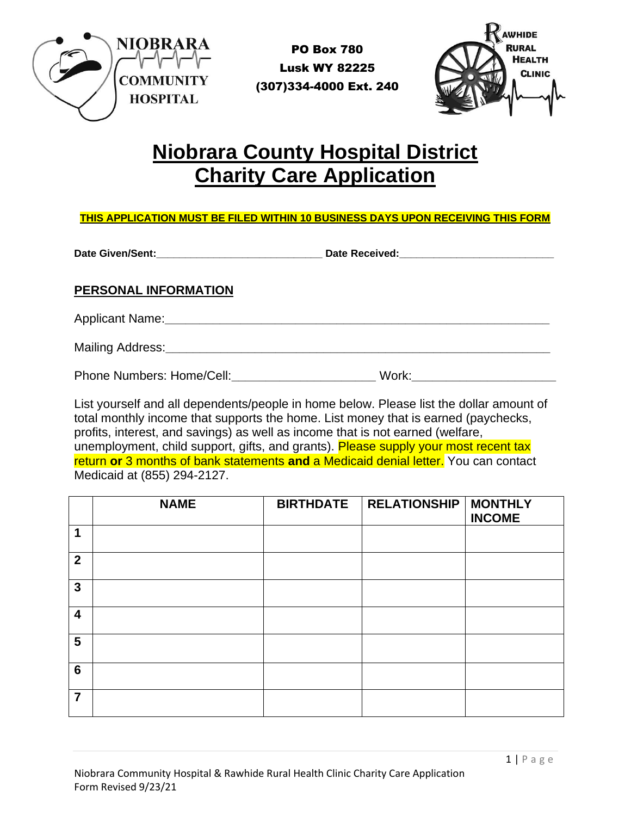

PO Box 780 Lusk WY 82225 (307)334-4000 Ext. 240



## **Niobrara County Hospital District Charity Care Application**

## **THIS APPLICATION MUST BE FILED WITHIN 10 BUSINESS DAYS UPON RECEIVING THIS FORM**

**Date Given/Sent:\_\_\_\_\_\_\_\_\_\_\_\_\_\_\_\_\_\_\_\_\_\_\_\_\_\_\_\_\_ Date Received:\_\_\_\_\_\_\_\_\_\_\_\_\_\_\_\_\_\_\_\_\_\_\_\_\_\_\_**

## **PERSONAL INFORMATION**

Applicant Name:**\_\_\_\_\_\_\_\_\_\_\_\_\_\_\_\_\_\_\_\_\_\_\_\_\_\_\_\_\_\_\_\_\_\_\_\_\_\_\_\_\_\_\_\_\_\_\_\_\_\_\_\_\_\_\_\_**

Mailing Address:**\_\_\_\_\_\_\_\_\_\_\_\_\_\_\_\_\_\_\_\_\_\_\_\_\_\_\_\_\_\_\_\_\_\_\_\_\_\_\_\_\_\_\_\_\_\_\_\_\_\_\_\_\_\_\_\_**

Phone Numbers: Home/Cell: Work: Numbers: Home/Cell: Numbers: Numbers: Numbers: Numbers: Numbers: Numbers: Numbers: Numbers: Numbers: Numbers: Numbers: Numbers: Numbers: Numbers: Numbers: Numbers: Numbers: Numbers: Numbers:

List yourself and all dependents/people in home below. Please list the dollar amount of total monthly income that supports the home. List money that is earned (paychecks, profits, interest, and savings) as well as income that is not earned (welfare, unemployment, child support, gifts, and grants). Please supply your most recent tax return **or** 3 months of bank statements **and** a Medicaid denial letter. You can contact Medicaid at (855) 294-2127.

|                         | <b>NAME</b> | <b>BIRTHDATE</b> | <b>RELATIONSHIP</b> | <b>MONTHLY</b><br><b>INCOME</b> |
|-------------------------|-------------|------------------|---------------------|---------------------------------|
| 1                       |             |                  |                     |                                 |
| $\overline{2}$          |             |                  |                     |                                 |
| $\mathbf{3}$            |             |                  |                     |                                 |
| $\overline{\mathbf{4}}$ |             |                  |                     |                                 |
| 5                       |             |                  |                     |                                 |
| $6\phantom{1}6$         |             |                  |                     |                                 |
| $\overline{7}$          |             |                  |                     |                                 |